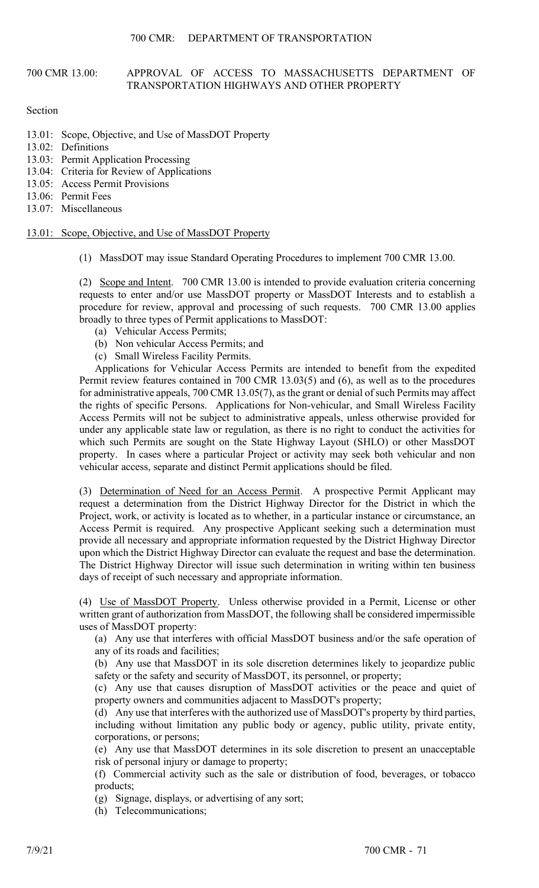## 700 CMR 13.00: APPROVAL OF ACCESS TO MASSACHUSETTS DEPARTMENT OF TRANSPORTATION HIGHWAYS AND OTHER PROPERTY

## Section

- 13.01: Scope, Objective, and Use of MassDOT Property
- 13.02: Definitions
- 13.03: Permit Application Processing
- 13.04: Criteria for Review of Applications
- 13.05: Access Permit Provisions
- 13.06: Permit Fees
- 13.07: Miscellaneous

13.01: Scope, Objective, and Use of MassDOT Property

(1) MassDOT may issue Standard Operating Procedures to implement 700 CMR 13.00.

(2) Scope and Intent. 700 CMR 13.00 is intended to provide evaluation criteria concerning requests to enter and/or use MassDOT property or MassDOT Interests and to establish a procedure for review, approval and processing of such requests. 700 CMR 13.00 applies broadly to three types of Permit applications to MassDOT:

- (a) Vehicular Access Permits;
- (b) Non vehicular Access Permits; and
- (c) Small Wireless Facility Permits.

Applications for Vehicular Access Permits are intended to benefit from the expedited Permit review features contained in 700 CMR 13.03(5) and (6), as well as to the procedures for administrative appeals, 700 CMR 13.05(7), as the grant or denial of such Permits may affect the rights of specific Persons. Applications for Non-vehicular, and Small Wireless Facility Access Permits will not be subject to administrative appeals, unless otherwise provided for under any applicable state law or regulation, as there is no right to conduct the activities for which such Permits are sought on the State Highway Layout (SHLO) or other MassDOT property. In cases where a particular Project or activity may seek both vehicular and non vehicular access, separate and distinct Permit applications should be filed.

(3) Determination of Need for an Access Permit. A prospective Permit Applicant may request a determination from the District Highway Director for the District in which the Project, work, or activity is located as to whether, in a particular instance or circumstance, an Access Permit is required. Any prospective Applicant seeking such a determination must provide all necessary and appropriate information requested by the District Highway Director upon which the District Highway Director can evaluate the request and base the determination. The District Highway Director will issue such determination in writing within ten business days of receipt of such necessary and appropriate information.

(4) Use of MassDOT Property. Unless otherwise provided in a Permit, License or other written grant of authorization from MassDOT, the following shall be considered impermissible uses of MassDOT property:

(a) Any use that interferes with official MassDOT business and/or the safe operation of any of its roads and facilities;

(b) Any use that MassDOT in its sole discretion determines likely to jeopardize public safety or the safety and security of MassDOT, its personnel, or property;

(c) Any use that causes disruption of MassDOT activities or the peace and quiet of property owners and communities adjacent to MassDOT's property;

(d) Any use that interferes with the authorized use of MassDOT's property by third parties, including without limitation any public body or agency, public utility, private entity, corporations, or persons;

(e) Any use that MassDOT determines in its sole discretion to present an unacceptable risk of personal injury or damage to property;

(f) Commercial activity such as the sale or distribution of food, beverages, or tobacco products;

(g) Signage, displays, or advertising of any sort;

(h) Telecommunications;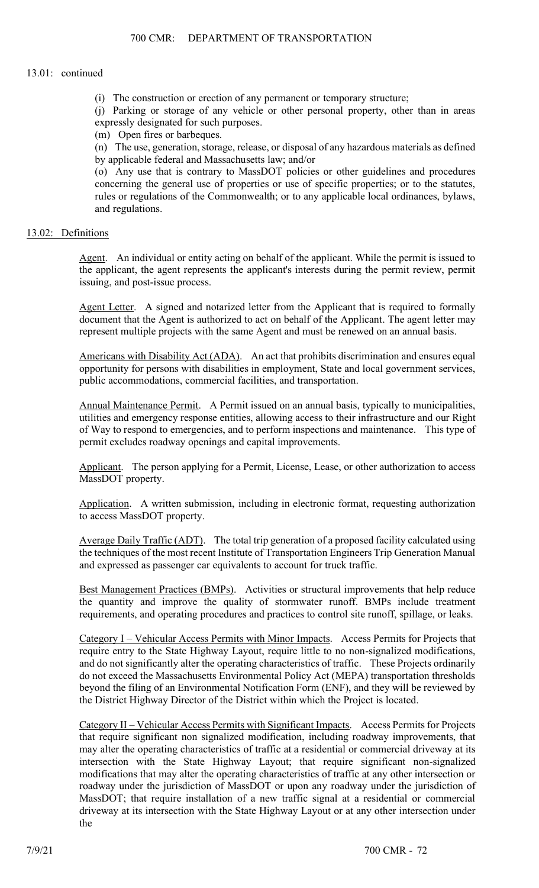(i) The construction or erection of any permanent or temporary structure;

(j) Parking or storage of any vehicle or other personal property, other than in areas expressly designated for such purposes.

(m) Open fires or barbeques.

(n) The use, generation, storage, release, or disposal of any hazardous materials as defined by applicable federal and Massachusetts law; and/or

(o) Any use that is contrary to MassDOT policies or other guidelines and procedures concerning the general use of properties or use of specific properties; or to the statutes, rules or regulations of the Commonwealth; or to any applicable local ordinances, bylaws, and regulations.

## 13.02: Definitions

Agent. An individual or entity acting on behalf of the applicant. While the permit is issued to the applicant, the agent represents the applicant's interests during the permit review, permit issuing, and post-issue process.

Agent Letter. A signed and notarized letter from the Applicant that is required to formally document that the Agent is authorized to act on behalf of the Applicant. The agent letter may represent multiple projects with the same Agent and must be renewed on an annual basis.

Americans with Disability Act (ADA). An act that prohibits discrimination and ensures equal opportunity for persons with disabilities in employment, State and local government services, public accommodations, commercial facilities, and transportation.

Annual Maintenance Permit. A Permit issued on an annual basis, typically to municipalities, utilities and emergency response entities, allowing access to their infrastructure and our Right of Way to respond to emergencies, and to perform inspections and maintenance. This type of permit excludes roadway openings and capital improvements.

Applicant. The person applying for a Permit, License, Lease, or other authorization to access MassDOT property.

Application. A written submission, including in electronic format, requesting authorization to access MassDOT property.

Average Daily Traffic (ADT). The total trip generation of a proposed facility calculated using the techniques of the most recent Institute of Transportation Engineers Trip Generation Manual and expressed as passenger car equivalents to account for truck traffic.

Best Management Practices (BMPs). Activities or structural improvements that help reduce the quantity and improve the quality of stormwater runoff. BMPs include treatment requirements, and operating procedures and practices to control site runoff, spillage, or leaks.

Category I – Vehicular Access Permits with Minor Impacts. Access Permits for Projects that require entry to the State Highway Layout, require little to no non-signalized modifications, and do not significantly alter the operating characteristics of traffic. These Projects ordinarily do not exceed the Massachusetts Environmental Policy Act (MEPA) transportation thresholds beyond the filing of an Environmental Notification Form (ENF), and they will be reviewed by the District Highway Director of the District within which the Project is located.

Category II – Vehicular Access Permits with Significant Impacts. Access Permits for Projects that require significant non signalized modification, including roadway improvements, that may alter the operating characteristics of traffic at a residential or commercial driveway at its intersection with the State Highway Layout; that require significant non-signalized modifications that may alter the operating characteristics of traffic at any other intersection or roadway under the jurisdiction of MassDOT or upon any roadway under the jurisdiction of MassDOT; that require installation of a new traffic signal at a residential or commercial driveway at its intersection with the State Highway Layout or at any other intersection under the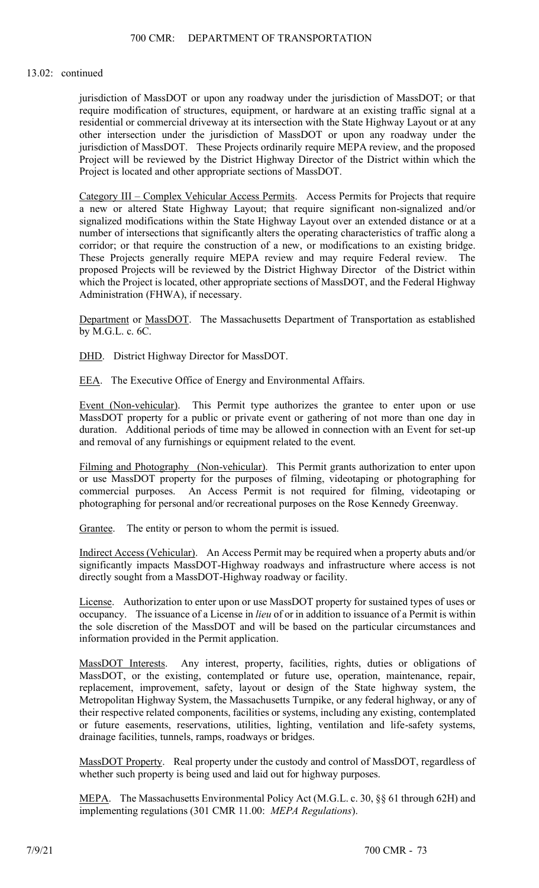jurisdiction of MassDOT or upon any roadway under the jurisdiction of MassDOT; or that require modification of structures, equipment, or hardware at an existing traffic signal at a residential or commercial driveway at its intersection with the State Highway Layout or at any other intersection under the jurisdiction of MassDOT or upon any roadway under the jurisdiction of MassDOT. These Projects ordinarily require MEPA review, and the proposed Project will be reviewed by the District Highway Director of the District within which the Project is located and other appropriate sections of MassDOT.

Category III – Complex Vehicular Access Permits. Access Permits for Projects that require a new or altered State Highway Layout; that require significant non-signalized and/or signalized modifications within the State Highway Layout over an extended distance or at a number of intersections that significantly alters the operating characteristics of traffic along a corridor; or that require the construction of a new, or modifications to an existing bridge. These Projects generally require MEPA review and may require Federal review. The proposed Projects will be reviewed by the District Highway Director of the District within which the Project is located, other appropriate sections of MassDOT, and the Federal Highway Administration (FHWA), if necessary.

Department or MassDOT. The Massachusetts Department of Transportation as established by M.G.L. c. 6C.

DHD. District Highway Director for MassDOT.

EEA. The Executive Office of Energy and Environmental Affairs.

Event (Non-vehicular). This Permit type authorizes the grantee to enter upon or use MassDOT property for a public or private event or gathering of not more than one day in duration. Additional periods of time may be allowed in connection with an Event for set-up and removal of any furnishings or equipment related to the event.

Filming and Photography (Non-vehicular). This Permit grants authorization to enter upon or use MassDOT property for the purposes of filming, videotaping or photographing for commercial purposes. An Access Permit is not required for filming, videotaping or photographing for personal and/or recreational purposes on the Rose Kennedy Greenway.

Grantee. The entity or person to whom the permit is issued.

Indirect Access (Vehicular). An Access Permit may be required when a property abuts and/or significantly impacts MassDOT-Highway roadways and infrastructure where access is not directly sought from a MassDOT-Highway roadway or facility.

License. Authorization to enter upon or use MassDOT property for sustained types of uses or occupancy. The issuance of a License in *lieu* of or in addition to issuance of a Permit is within the sole discretion of the MassDOT and will be based on the particular circumstances and information provided in the Permit application.

MassDOT Interests. Any interest, property, facilities, rights, duties or obligations of MassDOT, or the existing, contemplated or future use, operation, maintenance, repair, replacement, improvement, safety, layout or design of the State highway system, the Metropolitan Highway System, the Massachusetts Turnpike, or any federal highway, or any of their respective related components, facilities or systems, including any existing, contemplated or future easements, reservations, utilities, lighting, ventilation and life-safety systems, drainage facilities, tunnels, ramps, roadways or bridges.

MassDOT Property. Real property under the custody and control of MassDOT, regardless of whether such property is being used and laid out for highway purposes.

MEPA. The Massachusetts Environmental Policy Act (M.G.L. c. 30, §§ 61 through 62H) and implementing regulations (301 CMR 11.00: *MEPA Regulations*).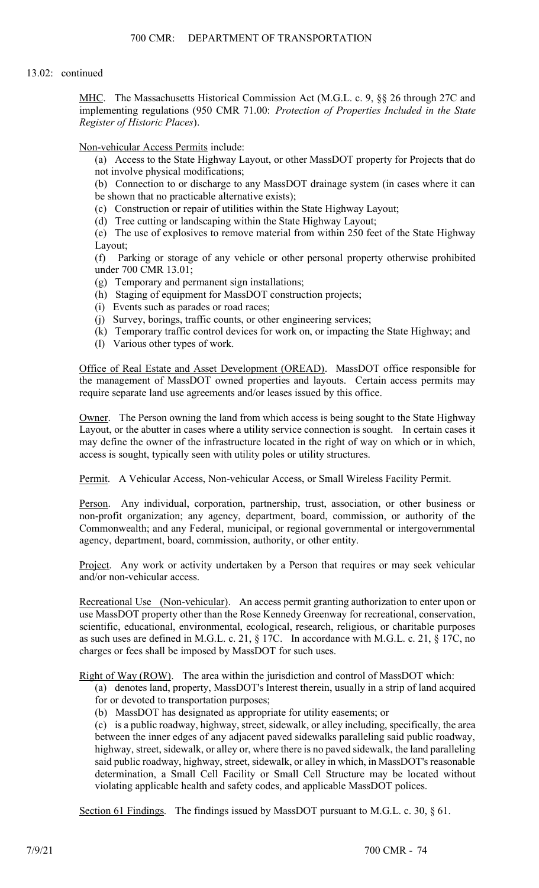MHC. The Massachusetts Historical Commission Act (M.G.L. c. 9, §§ 26 through 27C and implementing regulations (950 CMR 71.00: *Protection of Properties Included in the State Register of Historic Places*).

## Non-vehicular Access Permits include:

- (a) Access to the State Highway Layout, or other MassDOT property for Projects that do not involve physical modifications;
- (b) Connection to or discharge to any MassDOT drainage system (in cases where it can be shown that no practicable alternative exists);
- (c) Construction or repair of utilities within the State Highway Layout;
- (d) Tree cutting or landscaping within the State Highway Layout;
- (e) The use of explosives to remove material from within 250 feet of the State Highway Layout;

(f) Parking or storage of any vehicle or other personal property otherwise prohibited under 700 CMR 13.01;

- (g) Temporary and permanent sign installations;
- (h) Staging of equipment for MassDOT construction projects;
- (i) Events such as parades or road races;
- (j) Survey, borings, traffic counts, or other engineering services;
- (k) Temporary traffic control devices for work on, or impacting the State Highway; and
- (l) Various other types of work.

Office of Real Estate and Asset Development (OREAD). MassDOT office responsible for the management of MassDOT owned properties and layouts. Certain access permits may require separate land use agreements and/or leases issued by this office.

Owner. The Person owning the land from which access is being sought to the State Highway Layout, or the abutter in cases where a utility service connection is sought. In certain cases it may define the owner of the infrastructure located in the right of way on which or in which, access is sought, typically seen with utility poles or utility structures.

Permit. A Vehicular Access, Non-vehicular Access, or Small Wireless Facility Permit.

Person. Any individual, corporation, partnership, trust, association, or other business or non-profit organization; any agency, department, board, commission, or authority of the Commonwealth; and any Federal, municipal, or regional governmental or intergovernmental agency, department, board, commission, authority, or other entity.

Project. Any work or activity undertaken by a Person that requires or may seek vehicular and/or non-vehicular access.

Recreational Use (Non-vehicular). An access permit granting authorization to enter upon or use MassDOT property other than the Rose Kennedy Greenway for recreational, conservation, scientific, educational, environmental, ecological, research, religious, or charitable purposes as such uses are defined in M.G.L. c. 21, § 17C. In accordance with M.G.L. c. 21, § 17C, no charges or fees shall be imposed by MassDOT for such uses.

Right of Way (ROW). The area within the jurisdiction and control of MassDOT which:

(a) denotes land, property, MassDOT's Interest therein, usually in a strip of land acquired for or devoted to transportation purposes;

(b) MassDOT has designated as appropriate for utility easements; or

(c) is a public roadway, highway, street, sidewalk, or alley including, specifically, the area between the inner edges of any adjacent paved sidewalks paralleling said public roadway, highway, street, sidewalk, or alley or, where there is no paved sidewalk, the land paralleling said public roadway, highway, street, sidewalk, or alley in which, in MassDOT's reasonable determination, a Small Cell Facility or Small Cell Structure may be located without violating applicable health and safety codes, and applicable MassDOT polices.

Section 61 Findings. The findings issued by MassDOT pursuant to M.G.L. c. 30, § 61.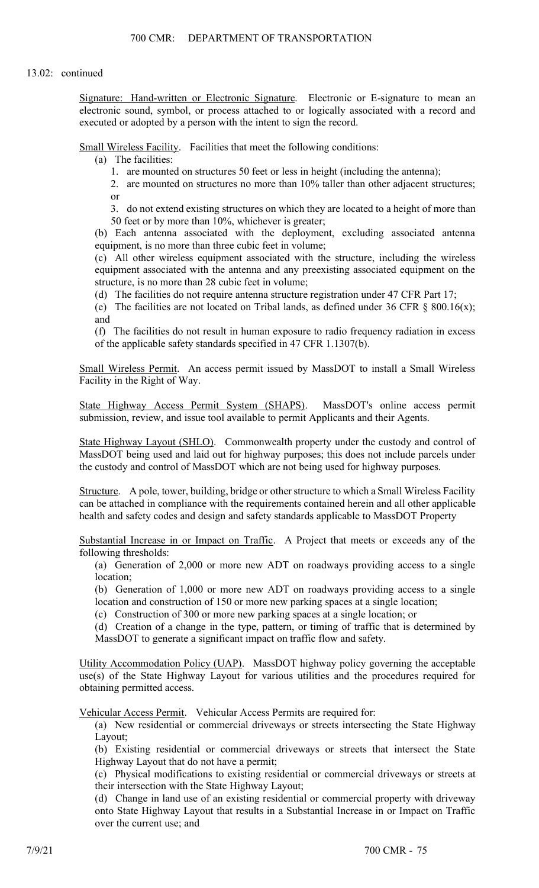Signature: Hand-written or Electronic Signature. Electronic or E-signature to mean an electronic sound, symbol, or process attached to or logically associated with a record and executed or adopted by a person with the intent to sign the record.

Small Wireless Facility. Facilities that meet the following conditions:

(a) The facilities:

1. are mounted on structures 50 feet or less in height (including the antenna);

2. are mounted on structures no more than 10% taller than other adjacent structures; or

3. do not extend existing structures on which they are located to a height of more than 50 feet or by more than 10%, whichever is greater;

(b) Each antenna associated with the deployment, excluding associated antenna equipment, is no more than three cubic feet in volume;

(c) All other wireless equipment associated with the structure, including the wireless equipment associated with the antenna and any preexisting associated equipment on the structure, is no more than 28 cubic feet in volume;

(d) The facilities do not require antenna structure registration under 47 CFR Part 17;

(e) The facilities are not located on Tribal lands, as defined under 36 CFR  $\S$  800.16(x); and

(f) The facilities do not result in human exposure to radio frequency radiation in excess of the applicable safety standards specified in 47 CFR 1.1307(b).

Small Wireless Permit. An access permit issued by MassDOT to install a Small Wireless Facility in the Right of Way.

State Highway Access Permit System (SHAPS). MassDOT's online access permit submission, review, and issue tool available to permit Applicants and their Agents.

State Highway Layout (SHLO). Commonwealth property under the custody and control of MassDOT being used and laid out for highway purposes; this does not include parcels under the custody and control of MassDOT which are not being used for highway purposes.

Structure. A pole, tower, building, bridge or other structure to which a Small Wireless Facility can be attached in compliance with the requirements contained herein and all other applicable health and safety codes and design and safety standards applicable to MassDOT Property

Substantial Increase in or Impact on Traffic. A Project that meets or exceeds any of the following thresholds:

(a) Generation of 2,000 or more new ADT on roadways providing access to a single location;

(b) Generation of 1,000 or more new ADT on roadways providing access to a single location and construction of 150 or more new parking spaces at a single location;

(c) Construction of 300 or more new parking spaces at a single location; or

(d) Creation of a change in the type, pattern, or timing of traffic that is determined by MassDOT to generate a significant impact on traffic flow and safety.

Utility Accommodation Policy (UAP). MassDOT highway policy governing the acceptable use(s) of the State Highway Layout for various utilities and the procedures required for obtaining permitted access.

Vehicular Access Permit. Vehicular Access Permits are required for:

(a) New residential or commercial driveways or streets intersecting the State Highway Layout;

(b) Existing residential or commercial driveways or streets that intersect the State Highway Layout that do not have a permit;

(c) Physical modifications to existing residential or commercial driveways or streets at their intersection with the State Highway Layout;

(d) Change in land use of an existing residential or commercial property with driveway onto State Highway Layout that results in a Substantial Increase in or Impact on Traffic over the current use; and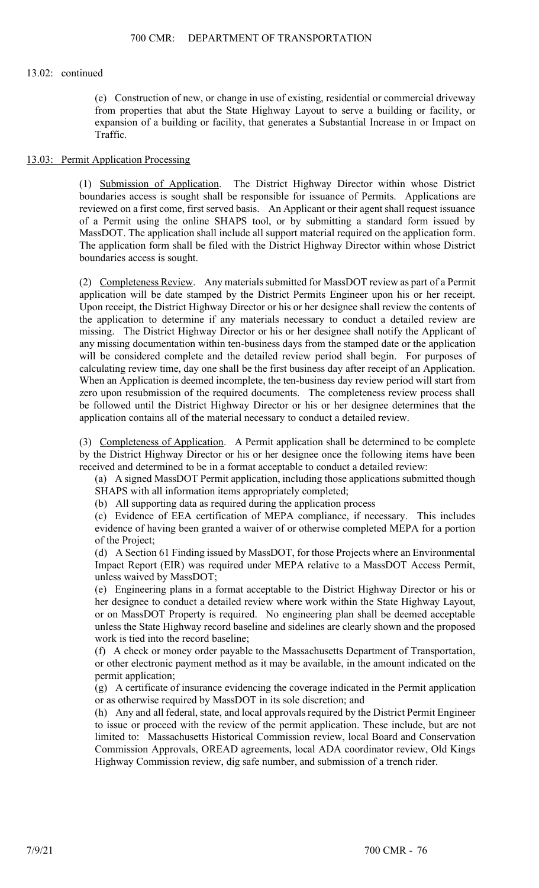(e) Construction of new, or change in use of existing, residential or commercial driveway from properties that abut the State Highway Layout to serve a building or facility, or expansion of a building or facility, that generates a Substantial Increase in or Impact on Traffic.

#### 13.03: Permit Application Processing

(1) Submission of Application. The District Highway Director within whose District boundaries access is sought shall be responsible for issuance of Permits. Applications are reviewed on a first come, first served basis. An Applicant or their agent shall request issuance of a Permit using the online SHAPS tool, or by submitting a standard form issued by MassDOT. The application shall include all support material required on the application form. The application form shall be filed with the District Highway Director within whose District boundaries access is sought.

(2) Completeness Review. Any materials submitted for MassDOT review as part of a Permit application will be date stamped by the District Permits Engineer upon his or her receipt. Upon receipt, the District Highway Director or his or her designee shall review the contents of the application to determine if any materials necessary to conduct a detailed review are missing. The District Highway Director or his or her designee shall notify the Applicant of any missing documentation within ten-business days from the stamped date or the application will be considered complete and the detailed review period shall begin. For purposes of calculating review time, day one shall be the first business day after receipt of an Application. When an Application is deemed incomplete, the ten-business day review period will start from zero upon resubmission of the required documents. The completeness review process shall be followed until the District Highway Director or his or her designee determines that the application contains all of the material necessary to conduct a detailed review.

(3) Completeness of Application. A Permit application shall be determined to be complete by the District Highway Director or his or her designee once the following items have been received and determined to be in a format acceptable to conduct a detailed review:

(a) A signed MassDOT Permit application, including those applications submitted though SHAPS with all information items appropriately completed;

(b) All supporting data as required during the application process

(c) Evidence of EEA certification of MEPA compliance, if necessary. This includes evidence of having been granted a waiver of or otherwise completed MEPA for a portion of the Project;

(d) A Section 61 Finding issued by MassDOT, for those Projects where an Environmental Impact Report (EIR) was required under MEPA relative to a MassDOT Access Permit, unless waived by MassDOT;

(e) Engineering plans in a format acceptable to the District Highway Director or his or her designee to conduct a detailed review where work within the State Highway Layout, or on MassDOT Property is required. No engineering plan shall be deemed acceptable unless the State Highway record baseline and sidelines are clearly shown and the proposed work is tied into the record baseline;

(f) A check or money order payable to the Massachusetts Department of Transportation, or other electronic payment method as it may be available, in the amount indicated on the permit application;

(g) A certificate of insurance evidencing the coverage indicated in the Permit application or as otherwise required by MassDOT in its sole discretion; and

(h) Any and all federal, state, and local approvals required by the District Permit Engineer to issue or proceed with the review of the permit application. These include, but are not limited to: Massachusetts Historical Commission review, local Board and Conservation Commission Approvals, OREAD agreements, local ADA coordinator review, Old Kings Highway Commission review, dig safe number, and submission of a trench rider.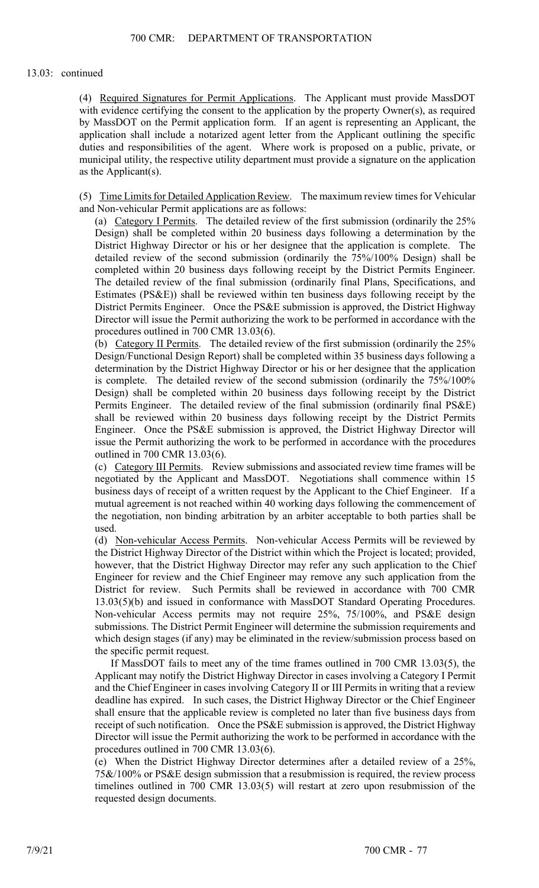(4) Required Signatures for Permit Applications. The Applicant must provide MassDOT with evidence certifying the consent to the application by the property Owner(s), as required by MassDOT on the Permit application form. If an agent is representing an Applicant, the application shall include a notarized agent letter from the Applicant outlining the specific duties and responsibilities of the agent. Where work is proposed on a public, private, or municipal utility, the respective utility department must provide a signature on the application as the Applicant(s).

(5) Time Limits for Detailed Application Review. The maximum review times for Vehicular and Non-vehicular Permit applications are as follows:

(a) Category I Permits. The detailed review of the first submission (ordinarily the 25% Design) shall be completed within 20 business days following a determination by the District Highway Director or his or her designee that the application is complete. The detailed review of the second submission (ordinarily the 75%/100% Design) shall be completed within 20 business days following receipt by the District Permits Engineer. The detailed review of the final submission (ordinarily final Plans, Specifications, and Estimates (PS&E)) shall be reviewed within ten business days following receipt by the District Permits Engineer. Once the PS&E submission is approved, the District Highway Director will issue the Permit authorizing the work to be performed in accordance with the procedures outlined in 700 CMR 13.03(6).

(b) Category II Permits. The detailed review of the first submission (ordinarily the 25% Design/Functional Design Report) shall be completed within 35 business days following a determination by the District Highway Director or his or her designee that the application is complete. The detailed review of the second submission (ordinarily the 75%/100% Design) shall be completed within 20 business days following receipt by the District Permits Engineer. The detailed review of the final submission (ordinarily final PS&E) shall be reviewed within 20 business days following receipt by the District Permits Engineer. Once the PS&E submission is approved, the District Highway Director will issue the Permit authorizing the work to be performed in accordance with the procedures outlined in 700 CMR 13.03(6).

(c) Category III Permits. Review submissions and associated review time frames will be negotiated by the Applicant and MassDOT. Negotiations shall commence within 15 business days of receipt of a written request by the Applicant to the Chief Engineer. If a mutual agreement is not reached within 40 working days following the commencement of the negotiation, non binding arbitration by an arbiter acceptable to both parties shall be used.

(d) Non-vehicular Access Permits. Non-vehicular Access Permits will be reviewed by the District Highway Director of the District within which the Project is located; provided, however, that the District Highway Director may refer any such application to the Chief Engineer for review and the Chief Engineer may remove any such application from the District for review. Such Permits shall be reviewed in accordance with 700 CMR 13.03(5)(b) and issued in conformance with MassDOT Standard Operating Procedures. Non-vehicular Access permits may not require 25%, 75/100%, and PS&E design submissions. The District Permit Engineer will determine the submission requirements and which design stages (if any) may be eliminated in the review/submission process based on the specific permit request.

If MassDOT fails to meet any of the time frames outlined in 700 CMR 13.03(5), the Applicant may notify the District Highway Director in cases involving a Category I Permit and the Chief Engineer in cases involving Category II or III Permits in writing that a review deadline has expired. In such cases, the District Highway Director or the Chief Engineer shall ensure that the applicable review is completed no later than five business days from receipt of such notification. Once the PS&E submission is approved, the District Highway Director will issue the Permit authorizing the work to be performed in accordance with the procedures outlined in 700 CMR 13.03(6).

(e) When the District Highway Director determines after a detailed review of a 25%, 75&/100% or PS&E design submission that a resubmission is required, the review process timelines outlined in 700 CMR 13.03(5) will restart at zero upon resubmission of the requested design documents.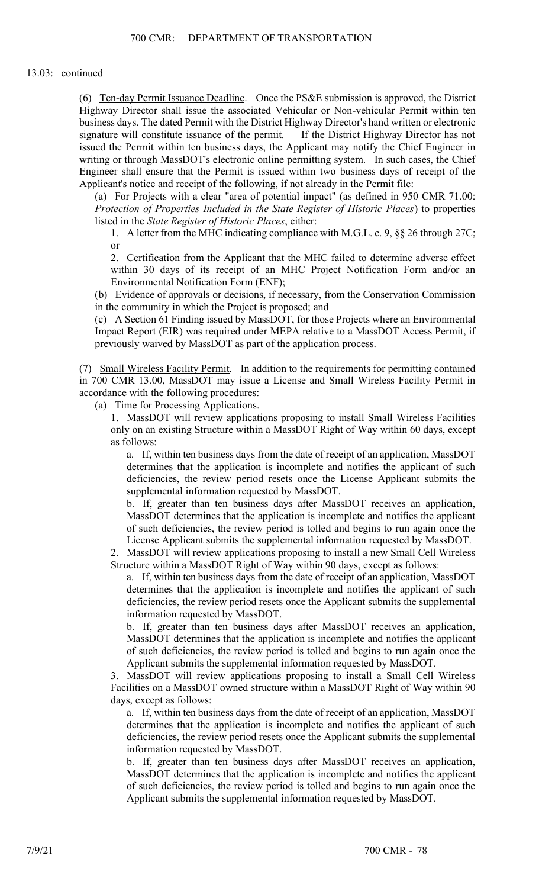(6) Ten-day Permit Issuance Deadline. Once the PS&E submission is approved, the District Highway Director shall issue the associated Vehicular or Non-vehicular Permit within ten business days. The dated Permit with the District Highway Director's hand written or electronic signature will constitute issuance of the permit. If the District Highway Director has not issued the Permit within ten business days, the Applicant may notify the Chief Engineer in writing or through MassDOT's electronic online permitting system. In such cases, the Chief Engineer shall ensure that the Permit is issued within two business days of receipt of the Applicant's notice and receipt of the following, if not already in the Permit file:

(a) For Projects with a clear "area of potential impact" (as defined in 950 CMR 71.00: *Protection of Properties Included in the State Register of Historic Places*) to properties listed in the *State Register of Historic Places*, either:

1. A letter from the MHC indicating compliance with M.G.L. c. 9, §§ 26 through 27C; or

2. Certification from the Applicant that the MHC failed to determine adverse effect within 30 days of its receipt of an MHC Project Notification Form and/or an Environmental Notification Form (ENF);

(b) Evidence of approvals or decisions, if necessary, from the Conservation Commission in the community in which the Project is proposed; and

(c) A Section 61 Finding issued by MassDOT, for those Projects where an Environmental Impact Report (EIR) was required under MEPA relative to a MassDOT Access Permit, if previously waived by MassDOT as part of the application process.

(7) Small Wireless Facility Permit. In addition to the requirements for permitting contained in 700 CMR 13.00, MassDOT may issue a License and Small Wireless Facility Permit in accordance with the following procedures:

(a) Time for Processing Applications.

1. MassDOT will review applications proposing to install Small Wireless Facilities only on an existing Structure within a MassDOT Right of Way within 60 days, except as follows:

a. If, within ten business days from the date of receipt of an application, MassDOT determines that the application is incomplete and notifies the applicant of such deficiencies, the review period resets once the License Applicant submits the supplemental information requested by MassDOT.

b. If, greater than ten business days after MassDOT receives an application, MassDOT determines that the application is incomplete and notifies the applicant of such deficiencies, the review period is tolled and begins to run again once the License Applicant submits the supplemental information requested by MassDOT.

2. MassDOT will review applications proposing to install a new Small Cell Wireless Structure within a MassDOT Right of Way within 90 days, except as follows:

a. If, within ten business days from the date of receipt of an application, MassDOT determines that the application is incomplete and notifies the applicant of such deficiencies, the review period resets once the Applicant submits the supplemental information requested by MassDOT.

b. If, greater than ten business days after MassDOT receives an application, MassDOT determines that the application is incomplete and notifies the applicant of such deficiencies, the review period is tolled and begins to run again once the Applicant submits the supplemental information requested by MassDOT.

3. MassDOT will review applications proposing to install a Small Cell Wireless Facilities on a MassDOT owned structure within a MassDOT Right of Way within 90 days, except as follows:

a. If, within ten business days from the date of receipt of an application, MassDOT determines that the application is incomplete and notifies the applicant of such deficiencies, the review period resets once the Applicant submits the supplemental information requested by MassDOT.

b. If, greater than ten business days after MassDOT receives an application, MassDOT determines that the application is incomplete and notifies the applicant of such deficiencies, the review period is tolled and begins to run again once the Applicant submits the supplemental information requested by MassDOT.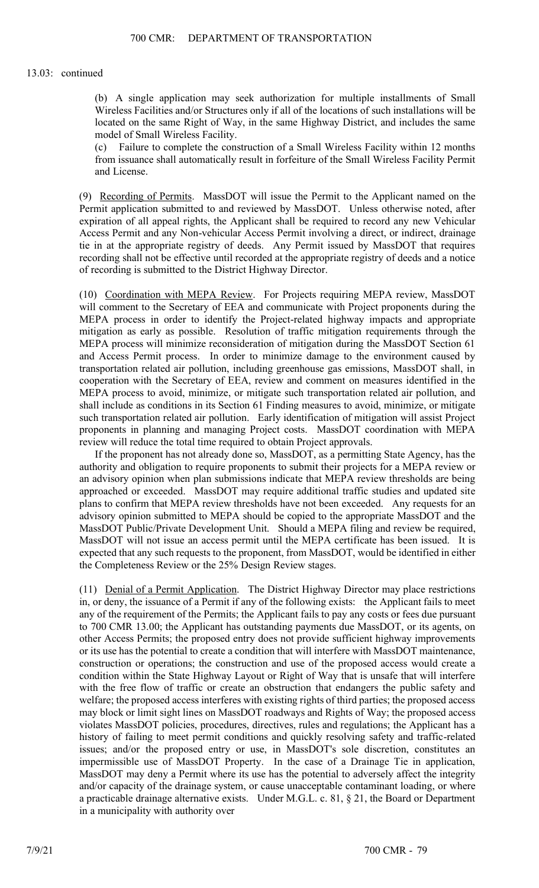(b) A single application may seek authorization for multiple installments of Small Wireless Facilities and/or Structures only if all of the locations of such installations will be located on the same Right of Way, in the same Highway District, and includes the same model of Small Wireless Facility.

(c) Failure to complete the construction of a Small Wireless Facility within 12 months from issuance shall automatically result in forfeiture of the Small Wireless Facility Permit and License.

(9) Recording of Permits. MassDOT will issue the Permit to the Applicant named on the Permit application submitted to and reviewed by MassDOT. Unless otherwise noted, after expiration of all appeal rights, the Applicant shall be required to record any new Vehicular Access Permit and any Non-vehicular Access Permit involving a direct, or indirect, drainage tie in at the appropriate registry of deeds. Any Permit issued by MassDOT that requires recording shall not be effective until recorded at the appropriate registry of deeds and a notice of recording is submitted to the District Highway Director.

(10) Coordination with MEPA Review. For Projects requiring MEPA review, MassDOT will comment to the Secretary of EEA and communicate with Project proponents during the MEPA process in order to identify the Project-related highway impacts and appropriate mitigation as early as possible. Resolution of traffic mitigation requirements through the MEPA process will minimize reconsideration of mitigation during the MassDOT Section 61 and Access Permit process. In order to minimize damage to the environment caused by transportation related air pollution, including greenhouse gas emissions, MassDOT shall, in cooperation with the Secretary of EEA, review and comment on measures identified in the MEPA process to avoid, minimize, or mitigate such transportation related air pollution, and shall include as conditions in its Section 61 Finding measures to avoid, minimize, or mitigate such transportation related air pollution. Early identification of mitigation will assist Project proponents in planning and managing Project costs. MassDOT coordination with MEPA review will reduce the total time required to obtain Project approvals.

If the proponent has not already done so, MassDOT, as a permitting State Agency, has the authority and obligation to require proponents to submit their projects for a MEPA review or an advisory opinion when plan submissions indicate that MEPA review thresholds are being approached or exceeded. MassDOT may require additional traffic studies and updated site plans to confirm that MEPA review thresholds have not been exceeded. Any requests for an advisory opinion submitted to MEPA should be copied to the appropriate MassDOT and the MassDOT Public/Private Development Unit. Should a MEPA filing and review be required, MassDOT will not issue an access permit until the MEPA certificate has been issued. It is expected that any such requests to the proponent, from MassDOT, would be identified in either the Completeness Review or the 25% Design Review stages.

(11) Denial of a Permit Application. The District Highway Director may place restrictions in, or deny, the issuance of a Permit if any of the following exists: the Applicant fails to meet any of the requirement of the Permits; the Applicant fails to pay any costs or fees due pursuant to 700 CMR 13.00; the Applicant has outstanding payments due MassDOT, or its agents, on other Access Permits; the proposed entry does not provide sufficient highway improvements or its use has the potential to create a condition that will interfere with MassDOT maintenance, construction or operations; the construction and use of the proposed access would create a condition within the State Highway Layout or Right of Way that is unsafe that will interfere with the free flow of traffic or create an obstruction that endangers the public safety and welfare; the proposed access interferes with existing rights of third parties; the proposed access may block or limit sight lines on MassDOT roadways and Rights of Way; the proposed access violates MassDOT policies, procedures, directives, rules and regulations; the Applicant has a history of failing to meet permit conditions and quickly resolving safety and traffic-related issues; and/or the proposed entry or use, in MassDOT's sole discretion, constitutes an impermissible use of MassDOT Property. In the case of a Drainage Tie in application, MassDOT may deny a Permit where its use has the potential to adversely affect the integrity and/or capacity of the drainage system, or cause unacceptable contaminant loading, or where a practicable drainage alternative exists. Under M.G.L. c. 81, § 21, the Board or Department in a municipality with authority over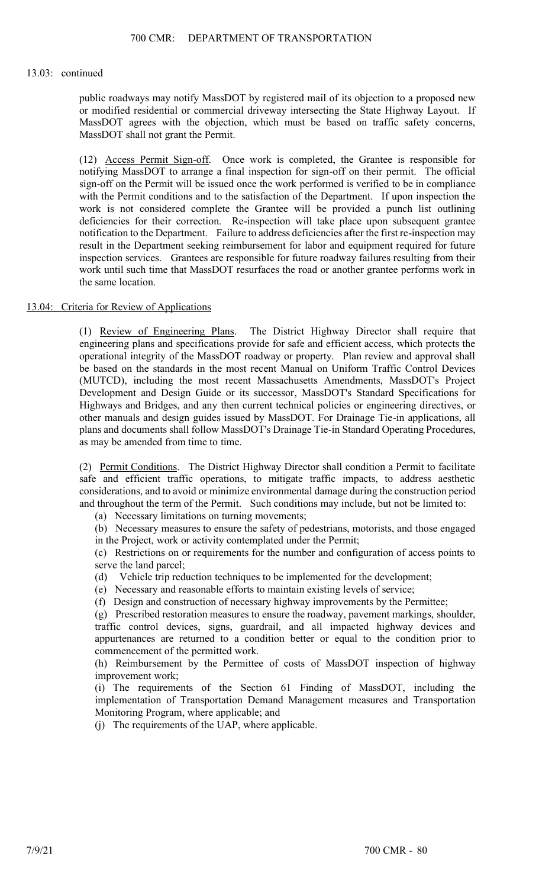public roadways may notify MassDOT by registered mail of its objection to a proposed new or modified residential or commercial driveway intersecting the State Highway Layout. If MassDOT agrees with the objection, which must be based on traffic safety concerns, MassDOT shall not grant the Permit.

(12) Access Permit Sign-off. Once work is completed, the Grantee is responsible for notifying MassDOT to arrange a final inspection for sign-off on their permit. The official sign-off on the Permit will be issued once the work performed is verified to be in compliance with the Permit conditions and to the satisfaction of the Department. If upon inspection the work is not considered complete the Grantee will be provided a punch list outlining deficiencies for their correction. Re-inspection will take place upon subsequent grantee notification to the Department. Failure to address deficiencies after the first re-inspection may result in the Department seeking reimbursement for labor and equipment required for future inspection services. Grantees are responsible for future roadway failures resulting from their work until such time that MassDOT resurfaces the road or another grantee performs work in the same location.

#### 13.04: Criteria for Review of Applications

(1) Review of Engineering Plans. The District Highway Director shall require that engineering plans and specifications provide for safe and efficient access, which protects the operational integrity of the MassDOT roadway or property. Plan review and approval shall be based on the standards in the most recent Manual on Uniform Traffic Control Devices (MUTCD), including the most recent Massachusetts Amendments, MassDOT's Project Development and Design Guide or its successor, MassDOT's Standard Specifications for Highways and Bridges, and any then current technical policies or engineering directives, or other manuals and design guides issued by MassDOT. For Drainage Tie-in applications, all plans and documents shall follow MassDOT's Drainage Tie-in Standard Operating Procedures, as may be amended from time to time.

(2) Permit Conditions. The District Highway Director shall condition a Permit to facilitate safe and efficient traffic operations, to mitigate traffic impacts, to address aesthetic considerations, and to avoid or minimize environmental damage during the construction period and throughout the term of the Permit. Such conditions may include, but not be limited to:

(a) Necessary limitations on turning movements;

(b) Necessary measures to ensure the safety of pedestrians, motorists, and those engaged in the Project, work or activity contemplated under the Permit;

(c) Restrictions on or requirements for the number and configuration of access points to serve the land parcel;

(d) Vehicle trip reduction techniques to be implemented for the development;

(e) Necessary and reasonable efforts to maintain existing levels of service;

(f) Design and construction of necessary highway improvements by the Permittee;

(g) Prescribed restoration measures to ensure the roadway, pavement markings, shoulder, traffic control devices, signs, guardrail, and all impacted highway devices and appurtenances are returned to a condition better or equal to the condition prior to commencement of the permitted work.

(h) Reimbursement by the Permittee of costs of MassDOT inspection of highway improvement work;

(i) The requirements of the Section 61 Finding of MassDOT, including the implementation of Transportation Demand Management measures and Transportation Monitoring Program, where applicable; and

(j) The requirements of the UAP, where applicable.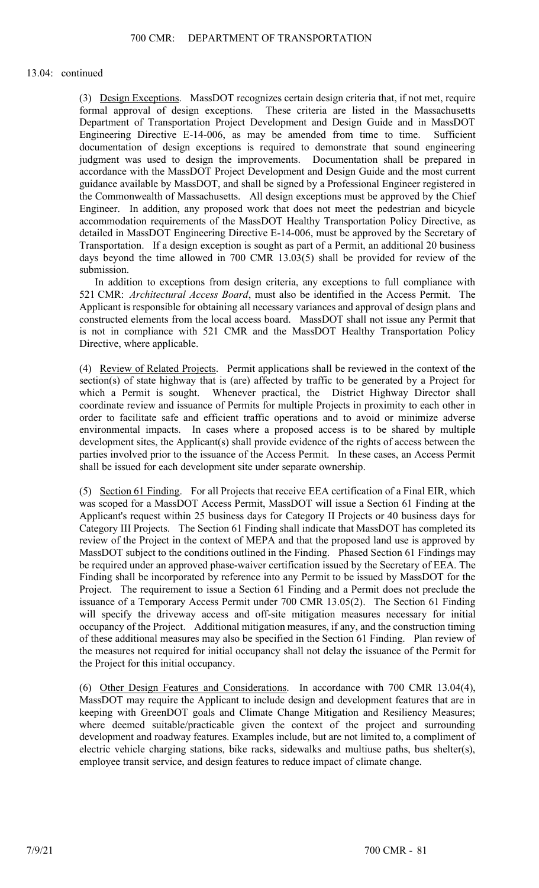(3) Design Exceptions. MassDOT recognizes certain design criteria that, if not met, require formal approval of design exceptions. These criteria are listed in the Massachusetts Department of Transportation Project Development and Design Guide and in MassDOT Engineering Directive E-14-006, as may be amended from time to time. Sufficient documentation of design exceptions is required to demonstrate that sound engineering judgment was used to design the improvements. Documentation shall be prepared in accordance with the MassDOT Project Development and Design Guide and the most current guidance available by MassDOT, and shall be signed by a Professional Engineer registered in the Commonwealth of Massachusetts. All design exceptions must be approved by the Chief Engineer. In addition, any proposed work that does not meet the pedestrian and bicycle accommodation requirements of the MassDOT Healthy Transportation Policy Directive, as detailed in MassDOT Engineering Directive E-14-006, must be approved by the Secretary of Transportation. If a design exception is sought as part of a Permit, an additional 20 business days beyond the time allowed in 700 CMR 13.03(5) shall be provided for review of the submission.

In addition to exceptions from design criteria, any exceptions to full compliance with 521 CMR: *Architectural Access Board*, must also be identified in the Access Permit. The Applicant is responsible for obtaining all necessary variances and approval of design plans and constructed elements from the local access board. MassDOT shall not issue any Permit that is not in compliance with 521 CMR and the MassDOT Healthy Transportation Policy Directive, where applicable.

(4) Review of Related Projects. Permit applications shall be reviewed in the context of the section(s) of state highway that is (are) affected by traffic to be generated by a Project for which a Permit is sought. Whenever practical, the District Highway Director shall coordinate review and issuance of Permits for multiple Projects in proximity to each other in order to facilitate safe and efficient traffic operations and to avoid or minimize adverse environmental impacts. In cases where a proposed access is to be shared by multiple development sites, the Applicant(s) shall provide evidence of the rights of access between the parties involved prior to the issuance of the Access Permit. In these cases, an Access Permit shall be issued for each development site under separate ownership.

(5) Section 61 Finding. For all Projects that receive EEA certification of a Final EIR, which was scoped for a MassDOT Access Permit, MassDOT will issue a Section 61 Finding at the Applicant's request within 25 business days for Category II Projects or 40 business days for Category III Projects. The Section 61 Finding shall indicate that MassDOT has completed its review of the Project in the context of MEPA and that the proposed land use is approved by MassDOT subject to the conditions outlined in the Finding. Phased Section 61 Findings may be required under an approved phase-waiver certification issued by the Secretary of EEA. The Finding shall be incorporated by reference into any Permit to be issued by MassDOT for the Project. The requirement to issue a Section 61 Finding and a Permit does not preclude the issuance of a Temporary Access Permit under 700 CMR 13.05(2). The Section 61 Finding will specify the driveway access and off-site mitigation measures necessary for initial occupancy of the Project. Additional mitigation measures, if any, and the construction timing of these additional measures may also be specified in the Section 61 Finding. Plan review of the measures not required for initial occupancy shall not delay the issuance of the Permit for the Project for this initial occupancy.

(6) Other Design Features and Considerations. In accordance with 700 CMR 13.04(4), MassDOT may require the Applicant to include design and development features that are in keeping with GreenDOT goals and Climate Change Mitigation and Resiliency Measures; where deemed suitable/practicable given the context of the project and surrounding development and roadway features. Examples include, but are not limited to, a compliment of electric vehicle charging stations, bike racks, sidewalks and multiuse paths, bus shelter(s), employee transit service, and design features to reduce impact of climate change.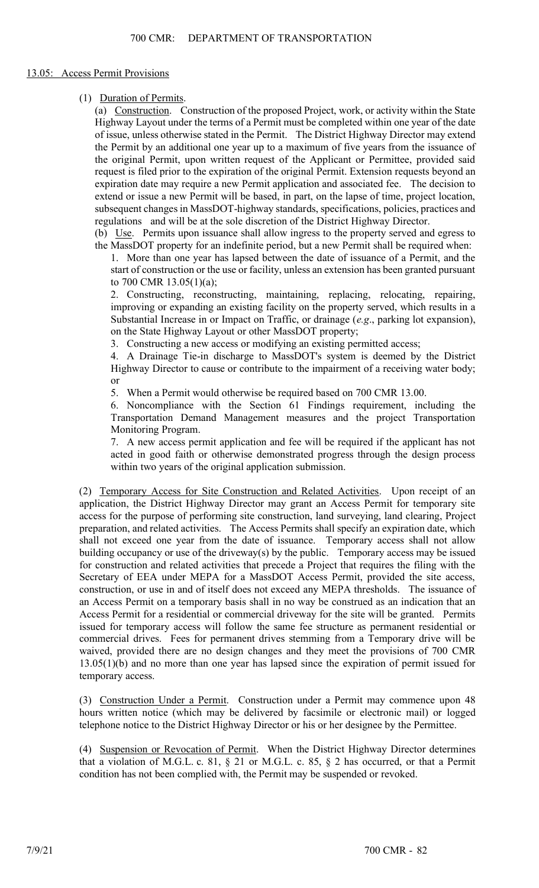### 13.05: Access Permit Provisions

(1) Duration of Permits.

(a) Construction. Construction of the proposed Project, work, or activity within the State Highway Layout under the terms of a Permit must be completed within one year of the date of issue, unless otherwise stated in the Permit. The District Highway Director may extend the Permit by an additional one year up to a maximum of five years from the issuance of the original Permit, upon written request of the Applicant or Permittee, provided said request is filed prior to the expiration of the original Permit. Extension requests beyond an expiration date may require a new Permit application and associated fee. The decision to extend or issue a new Permit will be based, in part, on the lapse of time, project location, subsequent changes in MassDOT-highway standards, specifications, policies, practices and regulations and will be at the sole discretion of the District Highway Director.

(b) Use. Permits upon issuance shall allow ingress to the property served and egress to the MassDOT property for an indefinite period, but a new Permit shall be required when:

1. More than one year has lapsed between the date of issuance of a Permit, and the start of construction or the use or facility, unless an extension has been granted pursuant to 700 CMR 13.05(1)(a);

2. Constructing, reconstructing, maintaining, replacing, relocating, repairing, improving or expanding an existing facility on the property served, which results in a Substantial Increase in or Impact on Traffic, or drainage (*e.g*., parking lot expansion), on the State Highway Layout or other MassDOT property;

3. Constructing a new access or modifying an existing permitted access;

4. A Drainage Tie-in discharge to MassDOT's system is deemed by the District Highway Director to cause or contribute to the impairment of a receiving water body; or

5. When a Permit would otherwise be required based on 700 CMR 13.00.

6. Noncompliance with the Section 61 Findings requirement, including the Transportation Demand Management measures and the project Transportation Monitoring Program.

7. A new access permit application and fee will be required if the applicant has not acted in good faith or otherwise demonstrated progress through the design process within two years of the original application submission.

(2) Temporary Access for Site Construction and Related Activities. Upon receipt of an application, the District Highway Director may grant an Access Permit for temporary site access for the purpose of performing site construction, land surveying, land clearing, Project preparation, and related activities. The Access Permits shall specify an expiration date, which shall not exceed one year from the date of issuance. Temporary access shall not allow building occupancy or use of the driveway(s) by the public. Temporary access may be issued for construction and related activities that precede a Project that requires the filing with the Secretary of EEA under MEPA for a MassDOT Access Permit, provided the site access, construction, or use in and of itself does not exceed any MEPA thresholds. The issuance of an Access Permit on a temporary basis shall in no way be construed as an indication that an Access Permit for a residential or commercial driveway for the site will be granted. Permits issued for temporary access will follow the same fee structure as permanent residential or commercial drives. Fees for permanent drives stemming from a Temporary drive will be waived, provided there are no design changes and they meet the provisions of 700 CMR 13.05(1)(b) and no more than one year has lapsed since the expiration of permit issued for temporary access.

(3) Construction Under a Permit. Construction under a Permit may commence upon 48 hours written notice (which may be delivered by facsimile or electronic mail) or logged telephone notice to the District Highway Director or his or her designee by the Permittee.

(4) Suspension or Revocation of Permit. When the District Highway Director determines that a violation of M.G.L. c. 81, § 21 or M.G.L. c. 85, § 2 has occurred, or that a Permit condition has not been complied with, the Permit may be suspended or revoked.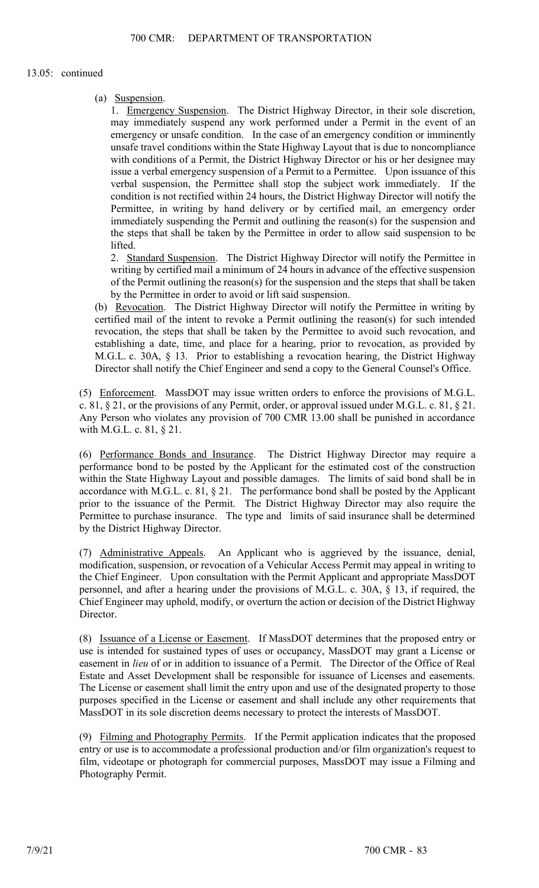(a) Suspension.

1. Emergency Suspension. The District Highway Director, in their sole discretion, may immediately suspend any work performed under a Permit in the event of an emergency or unsafe condition. In the case of an emergency condition or imminently unsafe travel conditions within the State Highway Layout that is due to noncompliance with conditions of a Permit, the District Highway Director or his or her designee may issue a verbal emergency suspension of a Permit to a Permittee. Upon issuance of this verbal suspension, the Permittee shall stop the subject work immediately. If the condition is not rectified within 24 hours, the District Highway Director will notify the Permittee, in writing by hand delivery or by certified mail, an emergency order immediately suspending the Permit and outlining the reason(s) for the suspension and the steps that shall be taken by the Permittee in order to allow said suspension to be lifted.

2. Standard Suspension. The District Highway Director will notify the Permittee in writing by certified mail a minimum of 24 hours in advance of the effective suspension of the Permit outlining the reason(s) for the suspension and the steps that shall be taken by the Permittee in order to avoid or lift said suspension.

(b) Revocation. The District Highway Director will notify the Permittee in writing by certified mail of the intent to revoke a Permit outlining the reason(s) for such intended revocation, the steps that shall be taken by the Permittee to avoid such revocation, and establishing a date, time, and place for a hearing, prior to revocation, as provided by M.G.L. c. 30A, § 13. Prior to establishing a revocation hearing, the District Highway Director shall notify the Chief Engineer and send a copy to the General Counsel's Office.

(5) Enforcement. MassDOT may issue written orders to enforce the provisions of M.G.L. c. 81,  $\S 21$ , or the provisions of any Permit, order, or approval issued under M.G.L. c. 81,  $\S 21$ . Any Person who violates any provision of 700 CMR 13.00 shall be punished in accordance with M.G.L. c. 81, § 21.

(6) Performance Bonds and Insurance. The District Highway Director may require a performance bond to be posted by the Applicant for the estimated cost of the construction within the State Highway Layout and possible damages. The limits of said bond shall be in accordance with M.G.L. c. 81, § 21. The performance bond shall be posted by the Applicant prior to the issuance of the Permit. The District Highway Director may also require the Permittee to purchase insurance. The type and limits of said insurance shall be determined by the District Highway Director.

(7) Administrative Appeals. An Applicant who is aggrieved by the issuance, denial, modification, suspension, or revocation of a Vehicular Access Permit may appeal in writing to the Chief Engineer. Upon consultation with the Permit Applicant and appropriate MassDOT personnel, and after a hearing under the provisions of M.G.L. c. 30A, § 13, if required, the Chief Engineer may uphold, modify, or overturn the action or decision of the District Highway Director.

(8) Issuance of a License or Easement. If MassDOT determines that the proposed entry or use is intended for sustained types of uses or occupancy, MassDOT may grant a License or easement in *lieu* of or in addition to issuance of a Permit. The Director of the Office of Real Estate and Asset Development shall be responsible for issuance of Licenses and easements. The License or easement shall limit the entry upon and use of the designated property to those purposes specified in the License or easement and shall include any other requirements that MassDOT in its sole discretion deems necessary to protect the interests of MassDOT.

(9) Filming and Photography Permits. If the Permit application indicates that the proposed entry or use is to accommodate a professional production and/or film organization's request to film, videotape or photograph for commercial purposes, MassDOT may issue a Filming and Photography Permit.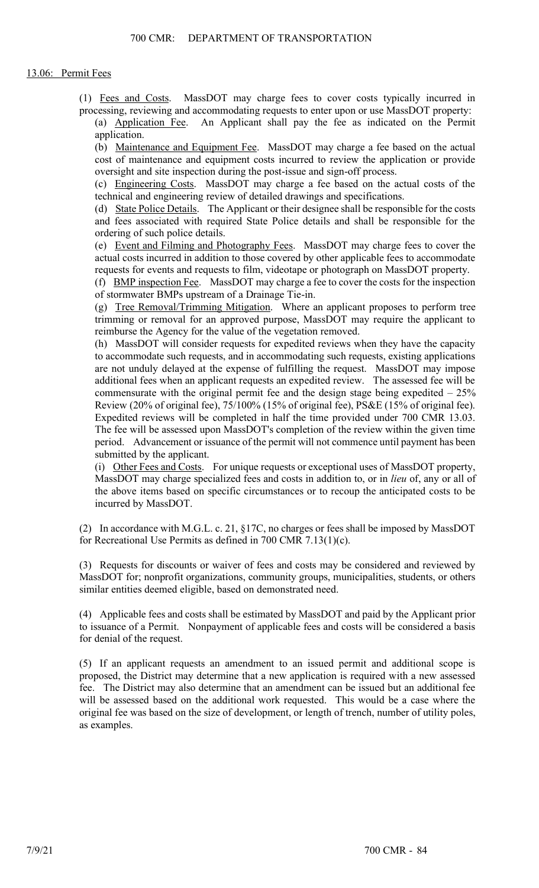(1) Fees and Costs. MassDOT may charge fees to cover costs typically incurred in processing, reviewing and accommodating requests to enter upon or use MassDOT property:

(a) Application Fee. An Applicant shall pay the fee as indicated on the Permit application.

(b) Maintenance and Equipment Fee. MassDOT may charge a fee based on the actual cost of maintenance and equipment costs incurred to review the application or provide oversight and site inspection during the post-issue and sign-off process.

(c) Engineering Costs. MassDOT may charge a fee based on the actual costs of the technical and engineering review of detailed drawings and specifications.

(d) State Police Details. The Applicant or their designee shall be responsible for the costs and fees associated with required State Police details and shall be responsible for the ordering of such police details.

(e) Event and Filming and Photography Fees. MassDOT may charge fees to cover the actual costs incurred in addition to those covered by other applicable fees to accommodate requests for events and requests to film, videotape or photograph on MassDOT property.

(f) BMP inspection Fee. MassDOT may charge a fee to cover the costs for the inspection of stormwater BMPs upstream of a Drainage Tie-in.

(g) Tree Removal/Trimming Mitigation. Where an applicant proposes to perform tree trimming or removal for an approved purpose, MassDOT may require the applicant to reimburse the Agency for the value of the vegetation removed.

(h) MassDOT will consider requests for expedited reviews when they have the capacity to accommodate such requests, and in accommodating such requests, existing applications are not unduly delayed at the expense of fulfilling the request. MassDOT may impose additional fees when an applicant requests an expedited review. The assessed fee will be commensurate with the original permit fee and the design stage being expedited  $-25\%$ Review (20% of original fee), 75/100% (15% of original fee), PS&E (15% of original fee). Expedited reviews will be completed in half the time provided under 700 CMR 13.03. The fee will be assessed upon MassDOT's completion of the review within the given time period. Advancement or issuance of the permit will not commence until payment has been submitted by the applicant.

(i) Other Fees and Costs. For unique requests or exceptional uses of MassDOT property, MassDOT may charge specialized fees and costs in addition to, or in *lieu* of, any or all of the above items based on specific circumstances or to recoup the anticipated costs to be incurred by MassDOT.

(2) In accordance with M.G.L. c. 21, §17C, no charges or fees shall be imposed by MassDOT for Recreational Use Permits as defined in 700 CMR 7.13(1)(c).

(3) Requests for discounts or waiver of fees and costs may be considered and reviewed by MassDOT for; nonprofit organizations, community groups, municipalities, students, or others similar entities deemed eligible, based on demonstrated need.

(4) Applicable fees and costs shall be estimated by MassDOT and paid by the Applicant prior to issuance of a Permit. Nonpayment of applicable fees and costs will be considered a basis for denial of the request.

(5) If an applicant requests an amendment to an issued permit and additional scope is proposed, the District may determine that a new application is required with a new assessed fee. The District may also determine that an amendment can be issued but an additional fee will be assessed based on the additional work requested. This would be a case where the original fee was based on the size of development, or length of trench, number of utility poles, as examples.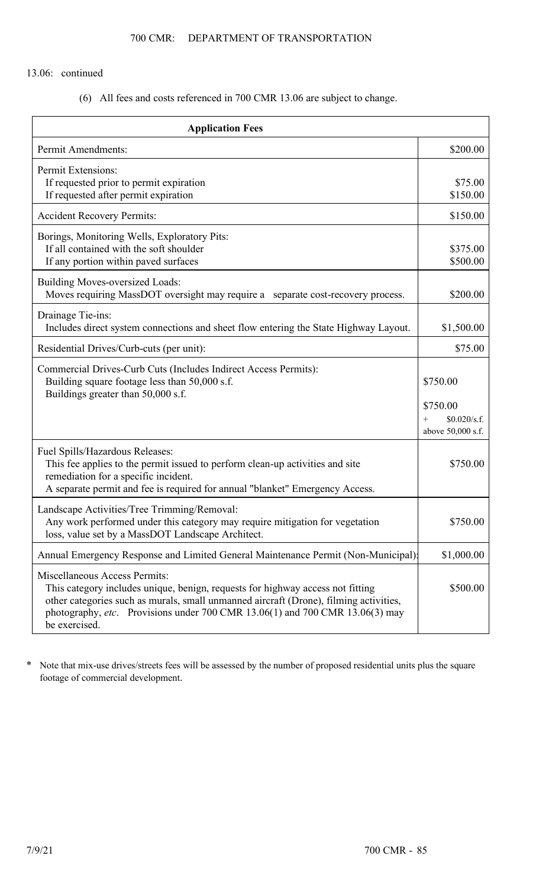(6) All fees and costs referenced in 700 CMR 13.06 are subject to change.

| <b>Application Fees</b>                                                                                                                                                                                                                                                                                          |                                                      |  |
|------------------------------------------------------------------------------------------------------------------------------------------------------------------------------------------------------------------------------------------------------------------------------------------------------------------|------------------------------------------------------|--|
| <b>Permit Amendments:</b>                                                                                                                                                                                                                                                                                        | \$200.00                                             |  |
| Permit Extensions:<br>If requested prior to permit expiration<br>If requested after permit expiration                                                                                                                                                                                                            | \$75.00<br>\$150.00                                  |  |
| <b>Accident Recovery Permits:</b>                                                                                                                                                                                                                                                                                | \$150.00                                             |  |
| Borings, Monitoring Wells, Exploratory Pits:<br>If all contained with the soft shoulder<br>If any portion within paved surfaces                                                                                                                                                                                  | \$375.00<br>\$500.00                                 |  |
| <b>Building Moves-oversized Loads:</b><br>Moves requiring MassDOT oversight may require a separate cost-recovery process.                                                                                                                                                                                        | \$200.00                                             |  |
| Drainage Tie-ins:<br>Includes direct system connections and sheet flow entering the State Highway Layout.                                                                                                                                                                                                        | \$1,500.00                                           |  |
| Residential Drives/Curb-cuts (per unit):                                                                                                                                                                                                                                                                         | \$75.00                                              |  |
| Commercial Drives-Curb Cuts (Includes Indirect Access Permits):<br>Building square footage less than 50,000 s.f.<br>Buildings greater than 50,000 s.f.                                                                                                                                                           | \$750.00                                             |  |
|                                                                                                                                                                                                                                                                                                                  | \$750.00<br>\$0.020/s.f.<br>$+$<br>above 50,000 s.f. |  |
| Fuel Spills/Hazardous Releases:<br>This fee applies to the permit issued to perform clean-up activities and site<br>remediation for a specific incident.<br>A separate permit and fee is required for annual "blanket" Emergency Access.                                                                         | \$750.00                                             |  |
| Landscape Activities/Tree Trimming/Removal:<br>Any work performed under this category may require mitigation for vegetation<br>loss, value set by a MassDOT Landscape Architect.                                                                                                                                 | \$750.00                                             |  |
| Annual Emergency Response and Limited General Maintenance Permit (Non-Municipal)                                                                                                                                                                                                                                 | \$1,000.00                                           |  |
| <b>Miscellaneous Access Permits:</b><br>This category includes unique, benign, requests for highway access not fitting<br>other categories such as murals, small unmanned aircraft (Drone), filming activities,<br>photography, etc. Provisions under 700 CMR 13.06(1) and 700 CMR 13.06(3) may<br>be exercised. | \$500.00                                             |  |

\* Note that mix-use drives/streets fees will be assessed by the number of proposed residential units plus the square footage of commercial development.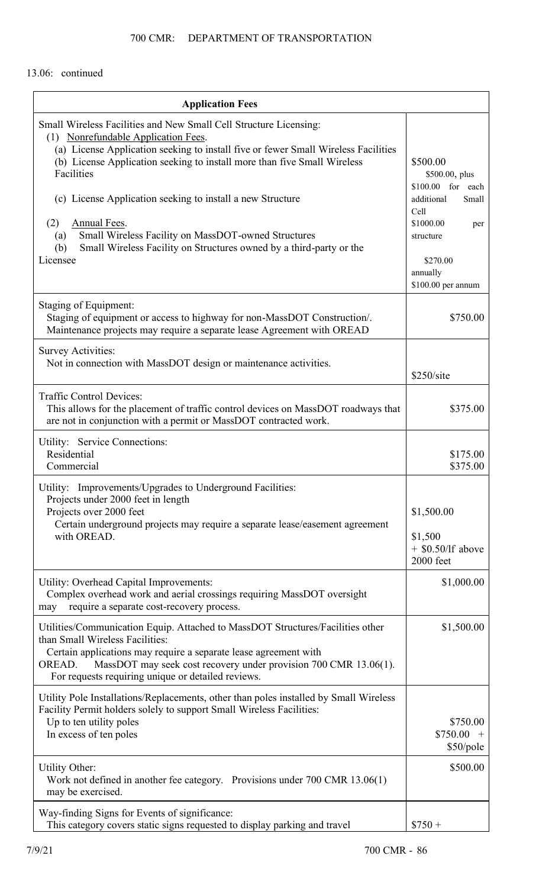| <b>Application Fees</b>                                                                                                                                                                                                                                                                                                                                                                                                                                                                                                                      |                                                                                                                                                               |
|----------------------------------------------------------------------------------------------------------------------------------------------------------------------------------------------------------------------------------------------------------------------------------------------------------------------------------------------------------------------------------------------------------------------------------------------------------------------------------------------------------------------------------------------|---------------------------------------------------------------------------------------------------------------------------------------------------------------|
| Small Wireless Facilities and New Small Cell Structure Licensing:<br>(1) Nonrefundable Application Fees.<br>(a) License Application seeking to install five or fewer Small Wireless Facilities<br>(b) License Application seeking to install more than five Small Wireless<br>Facilities<br>(c) License Application seeking to install a new Structure<br><b>Annual Fees.</b><br>(2)<br>Small Wireless Facility on MassDOT-owned Structures<br>(a)<br>Small Wireless Facility on Structures owned by a third-party or the<br>(b)<br>Licensee | \$500.00<br>\$500.00, plus<br>\$100.00 for each<br>additional<br>Small<br>Cell<br>\$1000.00<br>per<br>structure<br>\$270.00<br>annually<br>\$100.00 per annum |
| Staging of Equipment:<br>Staging of equipment or access to highway for non-MassDOT Construction/.<br>Maintenance projects may require a separate lease Agreement with OREAD                                                                                                                                                                                                                                                                                                                                                                  | \$750.00                                                                                                                                                      |
| Survey Activities:<br>Not in connection with MassDOT design or maintenance activities.                                                                                                                                                                                                                                                                                                                                                                                                                                                       | \$250/site                                                                                                                                                    |
| <b>Traffic Control Devices:</b><br>This allows for the placement of traffic control devices on MassDOT roadways that<br>are not in conjunction with a permit or MassDOT contracted work.                                                                                                                                                                                                                                                                                                                                                     | \$375.00                                                                                                                                                      |
| Utility: Service Connections:<br>Residential<br>Commercial                                                                                                                                                                                                                                                                                                                                                                                                                                                                                   | \$175.00<br>\$375.00                                                                                                                                          |
| Utility: Improvements/Upgrades to Underground Facilities:<br>Projects under 2000 feet in length<br>Projects over 2000 feet<br>Certain underground projects may require a separate lease/easement agreement<br>with OREAD.                                                                                                                                                                                                                                                                                                                    | \$1,500.00<br>\$1,500<br>$+$ \$0.50/lf above<br>2000 feet                                                                                                     |
| Utility: Overhead Capital Improvements:<br>Complex overhead work and aerial crossings requiring MassDOT oversight<br>require a separate cost-recovery process.<br>may                                                                                                                                                                                                                                                                                                                                                                        | \$1,000.00                                                                                                                                                    |
| Utilities/Communication Equip. Attached to MassDOT Structures/Facilities other<br>than Small Wireless Facilities:<br>Certain applications may require a separate lease agreement with<br>MassDOT may seek cost recovery under provision 700 CMR 13.06(1).<br>OREAD.<br>For requests requiring unique or detailed reviews.                                                                                                                                                                                                                    | \$1,500.00                                                                                                                                                    |
| Utility Pole Installations/Replacements, other than poles installed by Small Wireless<br>Facility Permit holders solely to support Small Wireless Facilities:<br>Up to ten utility poles<br>In excess of ten poles                                                                                                                                                                                                                                                                                                                           | \$750.00<br>$$750.00 +$<br>\$50/pole                                                                                                                          |
| <b>Utility Other:</b><br>Work not defined in another fee category. Provisions under 700 CMR 13.06(1)<br>may be exercised.                                                                                                                                                                                                                                                                                                                                                                                                                    | \$500.00                                                                                                                                                      |
| Way-finding Signs for Events of significance:<br>This category covers static signs requested to display parking and travel                                                                                                                                                                                                                                                                                                                                                                                                                   | $$750 +$                                                                                                                                                      |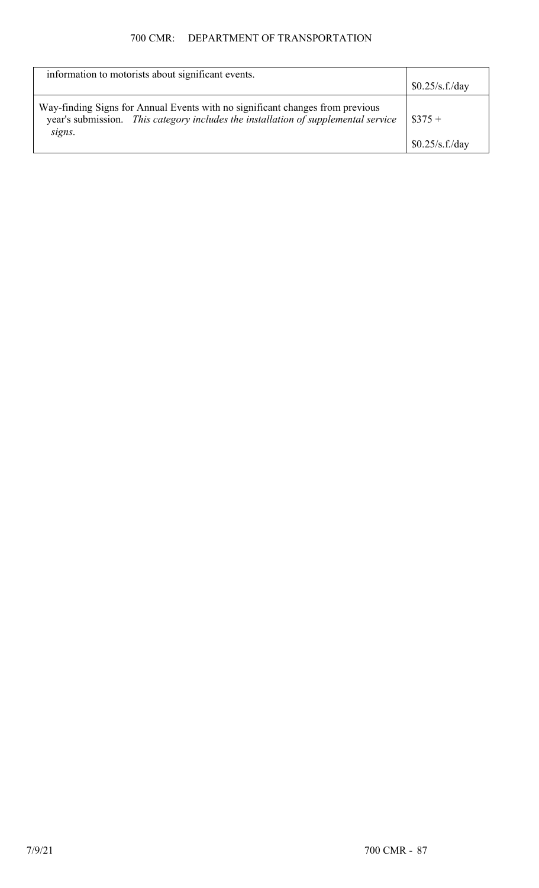# 700 CMR: DEPARTMENT OF TRANSPORTATION

| information to motorists about significant events.                                                                                                                            | \$0.25/s.f./day              |
|-------------------------------------------------------------------------------------------------------------------------------------------------------------------------------|------------------------------|
| Way-finding Signs for Annual Events with no significant changes from previous<br>year's submission. This category includes the installation of supplemental service<br>signs. | $\$375 +$<br>\$0.25/s.f./day |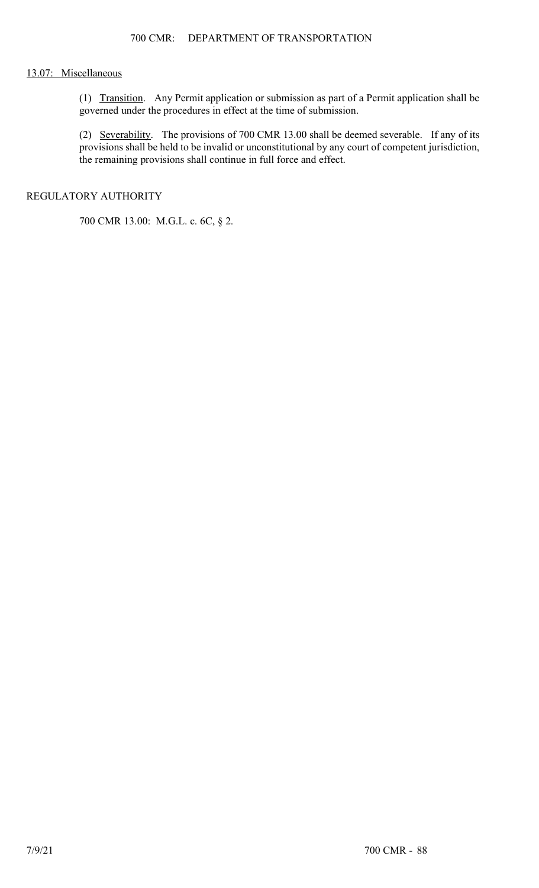## 13.07: Miscellaneous

(1) Transition. Any Permit application or submission as part of a Permit application shall be governed under the procedures in effect at the time of submission.

(2) Severability. The provisions of 700 CMR 13.00 shall be deemed severable. If any of its provisions shall be held to be invalid or unconstitutional by any court of competent jurisdiction, the remaining provisions shall continue in full force and effect.

# REGULATORY AUTHORITY

700 CMR 13.00: M.G.L. c. 6C, § 2.